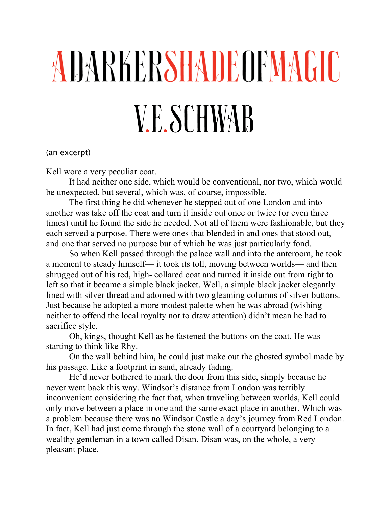## ADARKERSHADEOFMAGIC V.E.SCHWAB

## (an excerpt)

Kell wore a very peculiar coat.

It had neither one side, which would be conventional, nor two, which would be unexpected, but several, which was, of course, impossible.

The first thing he did whenever he stepped out of one London and into another was take off the coat and turn it inside out once or twice (or even three times) until he found the side he needed. Not all of them were fashionable, but they each served a purpose. There were ones that blended in and ones that stood out, and one that served no purpose but of which he was just particularly fond.

So when Kell passed through the palace wall and into the anteroom, he took a moment to steady himself— it took its toll, moving between worlds— and then shrugged out of his red, high- collared coat and turned it inside out from right to left so that it became a simple black jacket. Well, a simple black jacket elegantly lined with silver thread and adorned with two gleaming columns of silver buttons. Just because he adopted a more modest palette when he was abroad (wishing neither to offend the local royalty nor to draw attention) didn't mean he had to sacrifice style.

Oh, kings, thought Kell as he fastened the buttons on the coat. He was starting to think like Rhy.

On the wall behind him, he could just make out the ghosted symbol made by his passage. Like a footprint in sand, already fading.

He'd never bothered to mark the door from this side, simply because he never went back this way. Windsor's distance from London was terribly inconvenient considering the fact that, when traveling between worlds, Kell could only move between a place in one and the same exact place in another. Which was a problem because there was no Windsor Castle a day's journey from Red London. In fact, Kell had just come through the stone wall of a courtyard belonging to a wealthy gentleman in a town called Disan. Disan was, on the whole, a very pleasant place.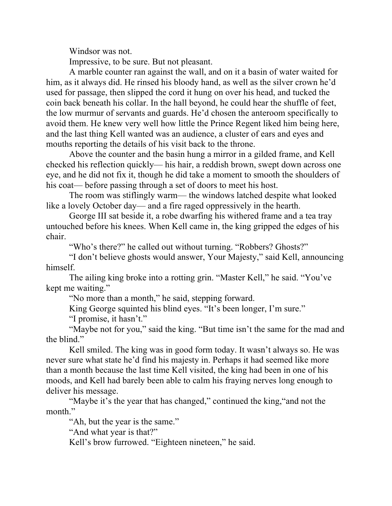Windsor was not.

Impressive, to be sure. But not pleasant.

A marble counter ran against the wall, and on it a basin of water waited for him, as it always did. He rinsed his bloody hand, as well as the silver crown he'd used for passage, then slipped the cord it hung on over his head, and tucked the coin back beneath his collar. In the hall beyond, he could hear the shuffle of feet, the low murmur of servants and guards. He'd chosen the anteroom specifically to avoid them. He knew very well how little the Prince Regent liked him being here, and the last thing Kell wanted was an audience, a cluster of ears and eyes and mouths reporting the details of his visit back to the throne.

Above the counter and the basin hung a mirror in a gilded frame, and Kell checked his reflection quickly— his hair, a reddish brown, swept down across one eye, and he did not fix it, though he did take a moment to smooth the shoulders of his coat— before passing through a set of doors to meet his host.

The room was stiflingly warm— the windows latched despite what looked like a lovely October day— and a fire raged oppressively in the hearth.

George III sat beside it, a robe dwarfing his withered frame and a tea tray untouched before his knees. When Kell came in, the king gripped the edges of his chair.

"Who's there?" he called out without turning. "Robbers? Ghosts?"

"I don't believe ghosts would answer, Your Majesty," said Kell, announcing himself.

The ailing king broke into a rotting grin. "Master Kell," he said. "You've kept me waiting."

"No more than a month," he said, stepping forward.

King George squinted his blind eyes. "It's been longer, I'm sure."

"I promise, it hasn't."

"Maybe not for you," said the king. "But time isn't the same for the mad and the blind."

Kell smiled. The king was in good form today. It wasn't always so. He was never sure what state he'd find his majesty in. Perhaps it had seemed like more than a month because the last time Kell visited, the king had been in one of his moods, and Kell had barely been able to calm his fraying nerves long enough to deliver his message.

"Maybe it's the year that has changed," continued the king,"and not the month."

"Ah, but the year is the same."

"And what year is that?"

Kell's brow furrowed. "Eighteen nineteen," he said.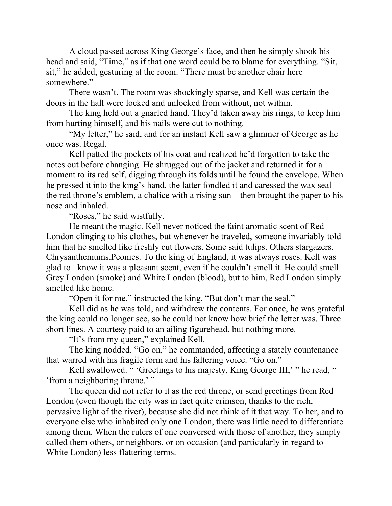A cloud passed across King George's face, and then he simply shook his head and said, "Time," as if that one word could be to blame for everything. "Sit, sit," he added, gesturing at the room. "There must be another chair here somewhere."

There wasn't. The room was shockingly sparse, and Kell was certain the doors in the hall were locked and unlocked from without, not within.

The king held out a gnarled hand. They'd taken away his rings, to keep him from hurting himself, and his nails were cut to nothing.

"My letter," he said, and for an instant Kell saw a glimmer of George as he once was. Regal.

Kell patted the pockets of his coat and realized he'd forgotten to take the notes out before changing. He shrugged out of the jacket and returned it for a moment to its red self, digging through its folds until he found the envelope. When he pressed it into the king's hand, the latter fondled it and caressed the wax seal the red throne's emblem, a chalice with a rising sun—then brought the paper to his nose and inhaled.

"Roses," he said wistfully.

He meant the magic. Kell never noticed the faint aromatic scent of Red London clinging to his clothes, but whenever he traveled, someone invariably told him that he smelled like freshly cut flowers. Some said tulips. Others stargazers. Chrysanthemums.Peonies. To the king of England, it was always roses. Kell was glad to know it was a pleasant scent, even if he couldn't smell it. He could smell Grey London (smoke) and White London (blood), but to him, Red London simply smelled like home.

"Open it for me," instructed the king. "But don't mar the seal."

Kell did as he was told, and withdrew the contents. For once, he was grateful the king could no longer see, so he could not know how brief the letter was. Three short lines. A courtesy paid to an ailing figurehead, but nothing more.

"It's from my queen," explained Kell.

The king nodded. "Go on," he commanded, affecting a stately countenance that warred with his fragile form and his faltering voice. "Go on."

Kell swallowed. " 'Greetings to his majesty, King George III,' " he read, " 'from a neighboring throne.' "

The queen did not refer to it as the red throne, or send greetings from Red London (even though the city was in fact quite crimson, thanks to the rich, pervasive light of the river), because she did not think of it that way. To her, and to everyone else who inhabited only one London, there was little need to differentiate among them. When the rulers of one conversed with those of another, they simply called them others, or neighbors, or on occasion (and particularly in regard to White London) less flattering terms.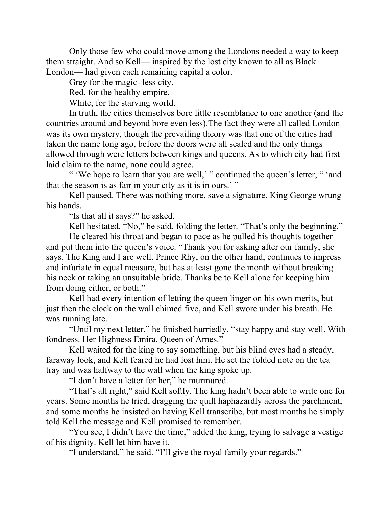Only those few who could move among the Londons needed a way to keep them straight. And so Kell— inspired by the lost city known to all as Black London— had given each remaining capital a color.

Grey for the magic- less city.

Red, for the healthy empire.

White, for the starving world.

In truth, the cities themselves bore little resemblance to one another (and the countries around and beyond bore even less).The fact they were all called London was its own mystery, though the prevailing theory was that one of the cities had taken the name long ago, before the doors were all sealed and the only things allowed through were letters between kings and queens. As to which city had first laid claim to the name, none could agree.

" 'We hope to learn that you are well,' " continued the queen's letter, " 'and that the season is as fair in your city as it is in ours.' "

Kell paused. There was nothing more, save a signature. King George wrung his hands.

"Is that all it says?" he asked.

Kell hesitated. "No," he said, folding the letter. "That's only the beginning."

He cleared his throat and began to pace as he pulled his thoughts together and put them into the queen's voice. "Thank you for asking after our family, she says. The King and I are well. Prince Rhy, on the other hand, continues to impress and infuriate in equal measure, but has at least gone the month without breaking his neck or taking an unsuitable bride. Thanks be to Kell alone for keeping him from doing either, or both."

Kell had every intention of letting the queen linger on his own merits, but just then the clock on the wall chimed five, and Kell swore under his breath. He was running late.

"Until my next letter," he finished hurriedly, "stay happy and stay well. With fondness. Her Highness Emira, Queen of Arnes."

Kell waited for the king to say something, but his blind eyes had a steady, faraway look, and Kell feared he had lost him. He set the folded note on the tea tray and was halfway to the wall when the king spoke up.

"I don't have a letter for her," he murmured.

"That's all right," said Kell softly. The king hadn't been able to write one for years. Some months he tried, dragging the quill haphazardly across the parchment, and some months he insisted on having Kell transcribe, but most months he simply told Kell the message and Kell promised to remember.

"You see, I didn't have the time," added the king, trying to salvage a vestige of his dignity. Kell let him have it.

"I understand," he said. "I'll give the royal family your regards."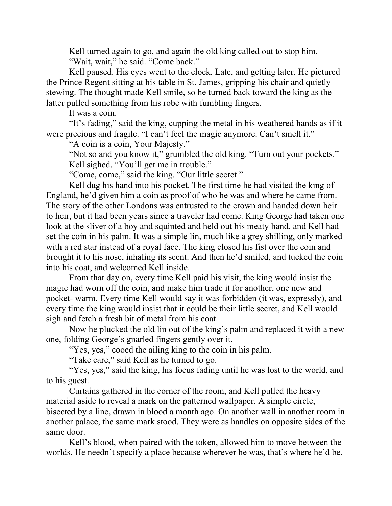Kell turned again to go, and again the old king called out to stop him. "Wait, wait," he said. "Come back."

Kell paused. His eyes went to the clock. Late, and getting later. He pictured the Prince Regent sitting at his table in St. James, gripping his chair and quietly stewing. The thought made Kell smile, so he turned back toward the king as the latter pulled something from his robe with fumbling fingers.

It was a coin.

"It's fading," said the king, cupping the metal in his weathered hands as if it were precious and fragile. "I can't feel the magic anymore. Can't smell it."

"A coin is a coin, Your Majesty."

"Not so and you know it," grumbled the old king. "Turn out your pockets." Kell sighed. "You'll get me in trouble."

"Come, come," said the king. "Our little secret."

Kell dug his hand into his pocket. The first time he had visited the king of England, he'd given him a coin as proof of who he was and where he came from. The story of the other Londons was entrusted to the crown and handed down heir to heir, but it had been years since a traveler had come. King George had taken one look at the sliver of a boy and squinted and held out his meaty hand, and Kell had set the coin in his palm. It was a simple lin, much like a grey shilling, only marked with a red star instead of a royal face. The king closed his fist over the coin and brought it to his nose, inhaling its scent. And then he'd smiled, and tucked the coin into his coat, and welcomed Kell inside.

From that day on, every time Kell paid his visit, the king would insist the magic had worn off the coin, and make him trade it for another, one new and pocket- warm. Every time Kell would say it was forbidden (it was, expressly), and every time the king would insist that it could be their little secret, and Kell would sigh and fetch a fresh bit of metal from his coat.

Now he plucked the old lin out of the king's palm and replaced it with a new one, folding George's gnarled fingers gently over it.

"Yes, yes," cooed the ailing king to the coin in his palm.

"Take care," said Kell as he turned to go.

"Yes, yes," said the king, his focus fading until he was lost to the world, and to his guest.

Curtains gathered in the corner of the room, and Kell pulled the heavy material aside to reveal a mark on the patterned wallpaper. A simple circle, bisected by a line, drawn in blood a month ago. On another wall in another room in another palace, the same mark stood. They were as handles on opposite sides of the same door.

Kell's blood, when paired with the token, allowed him to move between the worlds. He needn't specify a place because wherever he was, that's where he'd be.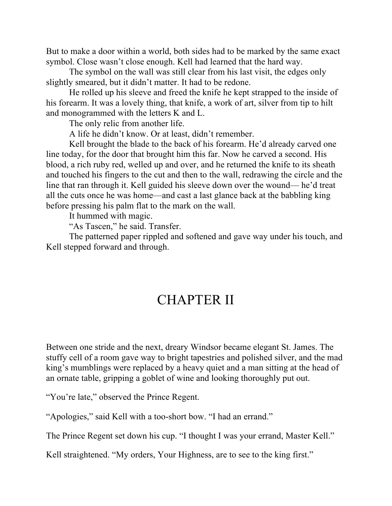But to make a door within a world, both sides had to be marked by the same exact symbol. Close wasn't close enough. Kell had learned that the hard way.

The symbol on the wall was still clear from his last visit, the edges only slightly smeared, but it didn't matter. It had to be redone.

He rolled up his sleeve and freed the knife he kept strapped to the inside of his forearm. It was a lovely thing, that knife, a work of art, silver from tip to hilt and monogrammed with the letters K and L.

The only relic from another life.

A life he didn't know. Or at least, didn't remember.

Kell brought the blade to the back of his forearm. He'd already carved one line today, for the door that brought him this far. Now he carved a second. His blood, a rich ruby red, welled up and over, and he returned the knife to its sheath and touched his fingers to the cut and then to the wall, redrawing the circle and the line that ran through it. Kell guided his sleeve down over the wound— he'd treat all the cuts once he was home—and cast a last glance back at the babbling king before pressing his palm flat to the mark on the wall.

It hummed with magic.

"As Tascen," he said. Transfer.

The patterned paper rippled and softened and gave way under his touch, and Kell stepped forward and through.

## CHAPTER II

Between one stride and the next, dreary Windsor became elegant St. James. The stuffy cell of a room gave way to bright tapestries and polished silver, and the mad king's mumblings were replaced by a heavy quiet and a man sitting at the head of an ornate table, gripping a goblet of wine and looking thoroughly put out.

"You're late," observed the Prince Regent.

"Apologies," said Kell with a too-short bow. "I had an errand."

The Prince Regent set down his cup. "I thought I was your errand, Master Kell."

Kell straightened. "My orders, Your Highness, are to see to the king first."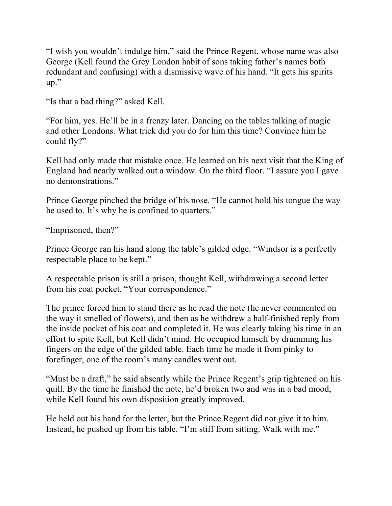"I wish you wouldn't indulge him," said the Prince Regent, whose name was also George (Kell found the Grey London habit of sons taking father's names both redundant and confusing) with a dismissive wave of his hand. "It gets his spirits up."

"Is that a bad thing?" asked Kell.

"For him, yes. He'll be in a frenzy later. Dancing on the tables talking of magic and other Londons. What trick did you do for him this time? Convince him he could fly?"

Kell had only made that mistake once. He learned on his next visit that the King of England had nearly walked out a window. On the third floor. "I assure you I gave no demonstrations."

Prince George pinched the bridge of his nose. "He cannot hold his tongue the way he used to. It's why he is confined to quarters."

"Imprisoned, then?"

Prince George ran his hand along the table's gilded edge. "Windsor is a perfectly respectable place to be kept."

A respectable prison is still a prison, thought Kell, withdrawing a second letter from his coat pocket. "Your correspondence."

The prince forced him to stand there as he read the note (he never commented on the way it smelled of flowers), and then as he withdrew a half-finished reply from the inside pocket of his coat and completed it. He was clearly taking his time in an effort to spite Kell, but Kell didn't mind. He occupied himself by drumming his fingers on the edge of the gilded table. Each time he made it from pinky to forefinger, one of the room's many candles went out.

"Must be a draft," he said absently while the Prince Regent's grip tightened on his quill. By the time he finished the note, he'd broken two and was in a bad mood, while Kell found his own disposition greatly improved.

He held out his hand for the letter, but the Prince Regent did not give it to him. Instead, he pushed up from his table. "I'm stiff from sitting. Walk with me."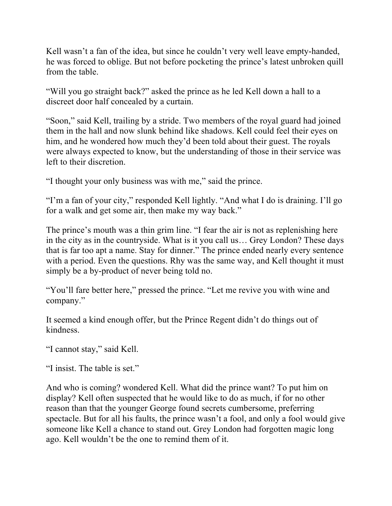Kell wasn't a fan of the idea, but since he couldn't very well leave empty-handed, he was forced to oblige. But not before pocketing the prince's latest unbroken quill from the table.

"Will you go straight back?" asked the prince as he led Kell down a hall to a discreet door half concealed by a curtain.

"Soon," said Kell, trailing by a stride. Two members of the royal guard had joined them in the hall and now slunk behind like shadows. Kell could feel their eyes on him, and he wondered how much they'd been told about their guest. The royals were always expected to know, but the understanding of those in their service was left to their discretion.

"I thought your only business was with me," said the prince.

"I'm a fan of your city," responded Kell lightly. "And what I do is draining. I'll go for a walk and get some air, then make my way back."

The prince's mouth was a thin grim line. "I fear the air is not as replenishing here in the city as in the countryside. What is it you call us… Grey London? These days that is far too apt a name. Stay for dinner." The prince ended nearly every sentence with a period. Even the questions. Rhy was the same way, and Kell thought it must simply be a by-product of never being told no.

"You'll fare better here," pressed the prince. "Let me revive you with wine and company."

It seemed a kind enough offer, but the Prince Regent didn't do things out of kindness.

"I cannot stay," said Kell.

"I insist. The table is set."

And who is coming? wondered Kell. What did the prince want? To put him on display? Kell often suspected that he would like to do as much, if for no other reason than that the younger George found secrets cumbersome, preferring spectacle. But for all his faults, the prince wasn't a fool, and only a fool would give someone like Kell a chance to stand out. Grey London had forgotten magic long ago. Kell wouldn't be the one to remind them of it.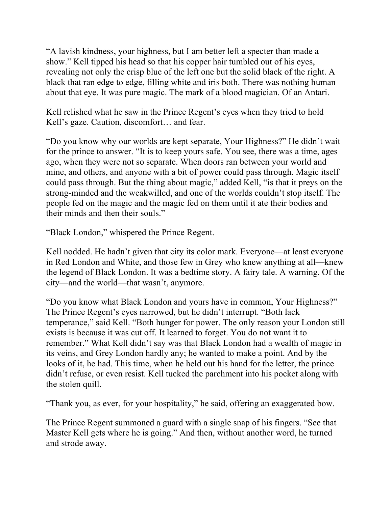"A lavish kindness, your highness, but I am better left a specter than made a show." Kell tipped his head so that his copper hair tumbled out of his eyes, revealing not only the crisp blue of the left one but the solid black of the right. A black that ran edge to edge, filling white and iris both. There was nothing human about that eye. It was pure magic. The mark of a blood magician. Of an Antari.

Kell relished what he saw in the Prince Regent's eyes when they tried to hold Kell's gaze. Caution, discomfort… and fear.

"Do you know why our worlds are kept separate, Your Highness?" He didn't wait for the prince to answer. "It is to keep yours safe. You see, there was a time, ages ago, when they were not so separate. When doors ran between your world and mine, and others, and anyone with a bit of power could pass through. Magic itself could pass through. But the thing about magic," added Kell, "is that it preys on the strong-minded and the weakwilled, and one of the worlds couldn't stop itself. The people fed on the magic and the magic fed on them until it ate their bodies and their minds and then their souls."

"Black London," whispered the Prince Regent.

Kell nodded. He hadn't given that city its color mark. Everyone—at least everyone in Red London and White, and those few in Grey who knew anything at all—knew the legend of Black London. It was a bedtime story. A fairy tale. A warning. Of the city—and the world—that wasn't, anymore.

"Do you know what Black London and yours have in common, Your Highness?" The Prince Regent's eyes narrowed, but he didn't interrupt. "Both lack temperance," said Kell. "Both hunger for power. The only reason your London still exists is because it was cut off. It learned to forget. You do not want it to remember." What Kell didn't say was that Black London had a wealth of magic in its veins, and Grey London hardly any; he wanted to make a point. And by the looks of it, he had. This time, when he held out his hand for the letter, the prince didn't refuse, or even resist. Kell tucked the parchment into his pocket along with the stolen quill.

"Thank you, as ever, for your hospitality," he said, offering an exaggerated bow.

The Prince Regent summoned a guard with a single snap of his fingers. "See that Master Kell gets where he is going." And then, without another word, he turned and strode away.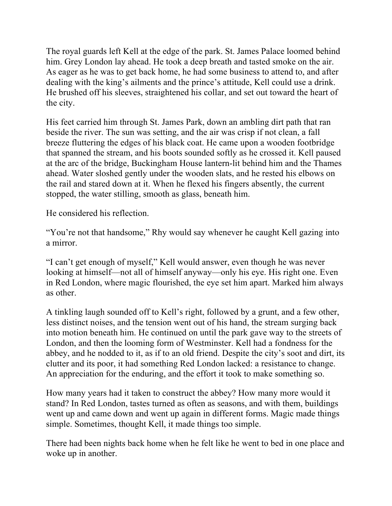The royal guards left Kell at the edge of the park. St. James Palace loomed behind him. Grey London lay ahead. He took a deep breath and tasted smoke on the air. As eager as he was to get back home, he had some business to attend to, and after dealing with the king's ailments and the prince's attitude, Kell could use a drink. He brushed off his sleeves, straightened his collar, and set out toward the heart of the city.

His feet carried him through St. James Park, down an ambling dirt path that ran beside the river. The sun was setting, and the air was crisp if not clean, a fall breeze fluttering the edges of his black coat. He came upon a wooden footbridge that spanned the stream, and his boots sounded softly as he crossed it. Kell paused at the arc of the bridge, Buckingham House lantern-lit behind him and the Thames ahead. Water sloshed gently under the wooden slats, and he rested his elbows on the rail and stared down at it. When he flexed his fingers absently, the current stopped, the water stilling, smooth as glass, beneath him.

He considered his reflection.

"You're not that handsome," Rhy would say whenever he caught Kell gazing into a mirror.

"I can't get enough of myself," Kell would answer, even though he was never looking at himself—not all of himself anyway—only his eye. His right one. Even in Red London, where magic flourished, the eye set him apart. Marked him always as other.

A tinkling laugh sounded off to Kell's right, followed by a grunt, and a few other, less distinct noises, and the tension went out of his hand, the stream surging back into motion beneath him. He continued on until the park gave way to the streets of London, and then the looming form of Westminster. Kell had a fondness for the abbey, and he nodded to it, as if to an old friend. Despite the city's soot and dirt, its clutter and its poor, it had something Red London lacked: a resistance to change. An appreciation for the enduring, and the effort it took to make something so.

How many years had it taken to construct the abbey? How many more would it stand? In Red London, tastes turned as often as seasons, and with them, buildings went up and came down and went up again in different forms. Magic made things simple. Sometimes, thought Kell, it made things too simple.

There had been nights back home when he felt like he went to bed in one place and woke up in another.